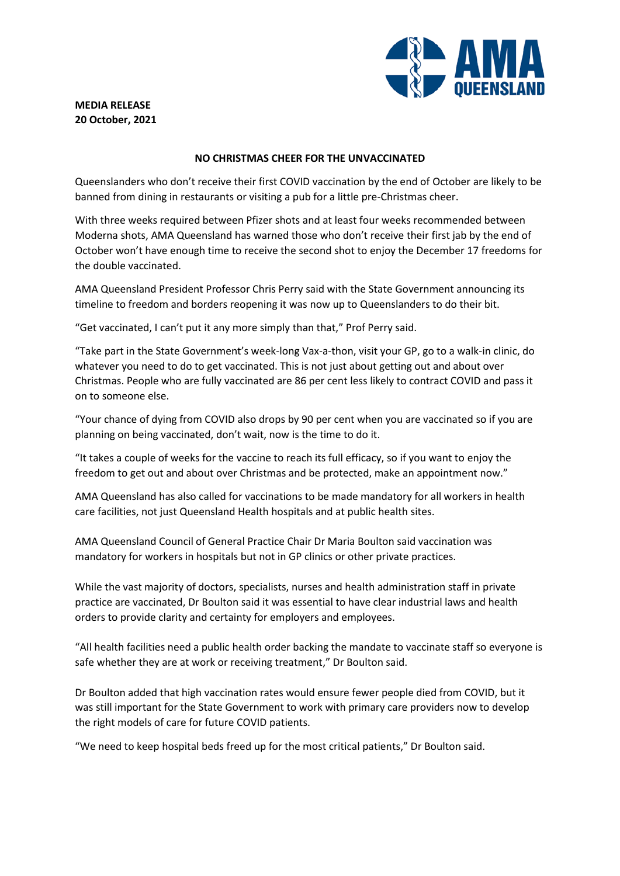

## **MEDIA RELEASE 20 October, 2021**

## **NO CHRISTMAS CHEER FOR THE UNVACCINATED**

Queenslanders who don't receive their first COVID vaccination by the end of October are likely to be banned from dining in restaurants or visiting a pub for a little pre-Christmas cheer.

With three weeks required between Pfizer shots and at least four weeks recommended between Moderna shots, AMA Queensland has warned those who don't receive their first jab by the end of October won't have enough time to receive the second shot to enjoy the December 17 freedoms for the double vaccinated.

AMA Queensland President Professor Chris Perry said with the State Government announcing its timeline to freedom and borders reopening it was now up to Queenslanders to do their bit.

"Get vaccinated, I can't put it any more simply than that," Prof Perry said.

"Take part in the State Government's week-long Vax-a-thon, visit your GP, go to a walk-in clinic, do whatever you need to do to get vaccinated. This is not just about getting out and about over Christmas. People who are fully vaccinated are 86 per cent less likely to contract COVID and pass it on to someone else.

"Your chance of dying from COVID also drops by 90 per cent when you are vaccinated so if you are planning on being vaccinated, don't wait, now is the time to do it.

"It takes a couple of weeks for the vaccine to reach its full efficacy, so if you want to enjoy the freedom to get out and about over Christmas and be protected, make an appointment now."

AMA Queensland has also called for vaccinations to be made mandatory for all workers in health care facilities, not just Queensland Health hospitals and at public health sites.

AMA Queensland Council of General Practice Chair Dr Maria Boulton said vaccination was mandatory for workers in hospitals but not in GP clinics or other private practices.

While the vast majority of doctors, specialists, nurses and health administration staff in private practice are vaccinated, Dr Boulton said it was essential to have clear industrial laws and health orders to provide clarity and certainty for employers and employees.

"All health facilities need a public health order backing the mandate to vaccinate staff so everyone is safe whether they are at work or receiving treatment," Dr Boulton said.

Dr Boulton added that high vaccination rates would ensure fewer people died from COVID, but it was still important for the State Government to work with primary care providers now to develop the right models of care for future COVID patients.

"We need to keep hospital beds freed up for the most critical patients," Dr Boulton said.